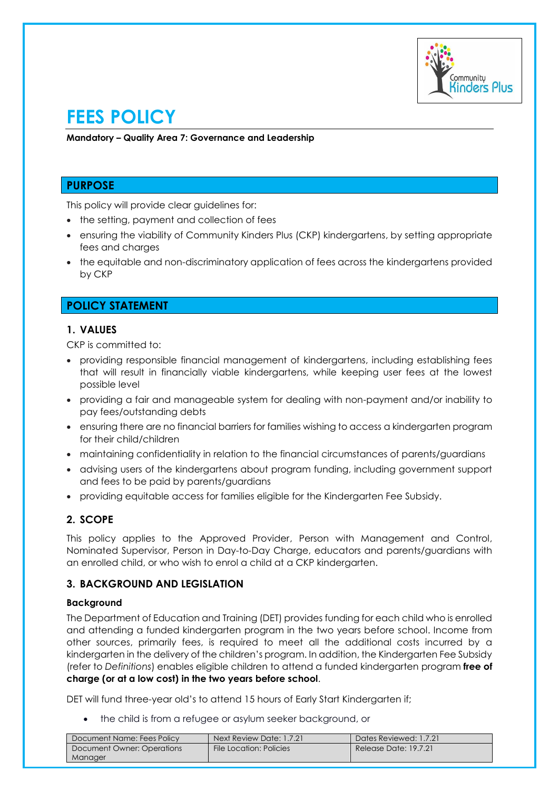

# **FEES POLICY**

**Mandatory – Quality Area 7: Governance and Leadership** 

# **PURPOSE**

This policy will provide clear guidelines for:

- the setting, payment and collection of fees
- ensuring the viability of Community Kinders Plus (CKP) kindergartens, by setting appropriate fees and charges
- the equitable and non-discriminatory application of fees across the kindergartens provided by CKP

# **POLICY STATEMENT**

# **1. VALUES**

CKP is committed to:

- providing responsible financial management of kindergartens, including establishing fees that will result in financially viable kindergartens, while keeping user fees at the lowest possible level
- providing a fair and manageable system for dealing with non-payment and/or inability to pay fees/outstanding debts
- ensuring there are no financial barriers for families wishing to access a kindergarten program for their child/children
- maintaining confidentiality in relation to the financial circumstances of parents/guardians
- advising users of the kindergartens about program funding, including government support and fees to be paid by parents/guardians
- providing equitable access for families eligible for the Kindergarten Fee Subsidy.

# **2. SCOPE**

This policy applies to the Approved Provider, Person with Management and Control, Nominated Supervisor, Person in Day-to-Day Charge, educators and parents/guardians with an enrolled child, or who wish to enrol a child at a CKP kindergarten.

### **3. BACKGROUND AND LEGISLATION**

#### **Background**

The Department of Education and Training (DET) provides funding for each child who is enrolled and attending a funded kindergarten program in the two years before school. Income from other sources, primarily fees, is required to meet all the additional costs incurred by a kindergarten in the delivery of the children's program. In addition, the Kindergarten Fee Subsidy (refer to *Definitions*) enables eligible children to attend a funded kindergarten program **free of charge (or at a low cost) in the two years before school**.

DET will fund three-year old's to attend 15 hours of Early Start Kindergarten if;

• the child is from a refugee or asylum seeker background, or

| Document Name: Fees Policy | Next Review Date: 1.7.21 | Dates Reviewed: 1.7.21 |
|----------------------------|--------------------------|------------------------|
| Document Owner: Operations | File Location: Policies  | Release Date: 19.7.21  |
| Manager                    |                          |                        |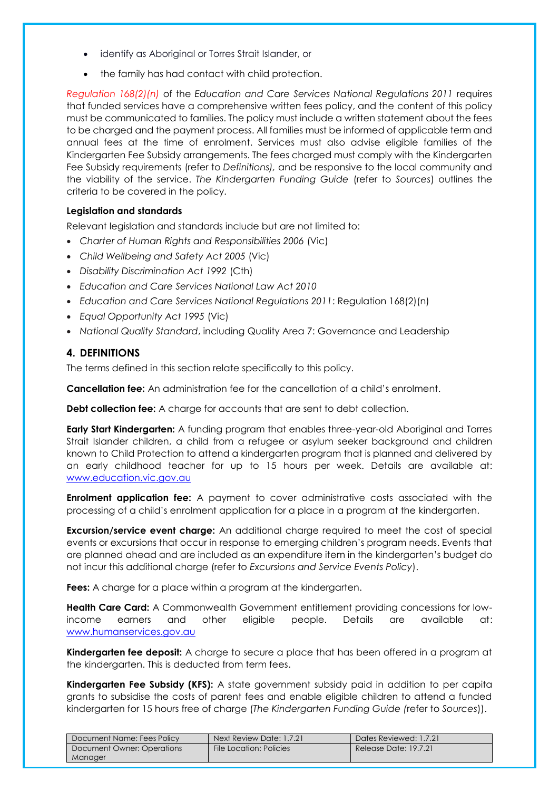- identify as Aboriginal or Torres Strait Islander, or
- the family has had contact with child protection.

*Regulation 168(2)(n)* of the *Education and Care Services National Regulations 2011* requires that funded services have a comprehensive written fees policy, and the content of this policy must be communicated to families. The policy must include a written statement about the fees to be charged and the payment process. All families must be informed of applicable term and annual fees at the time of enrolment. Services must also advise eligible families of the Kindergarten Fee Subsidy arrangements. The fees charged must comply with the Kindergarten Fee Subsidy requirements (refer to *Definitions),* and be responsive to the local community and the viability of the service. *The Kindergarten Funding Guide* (refer to *Sources*) outlines the criteria to be covered in the policy.

### **Legislation and standards**

Relevant legislation and standards include but are not limited to:

- *Charter of Human Rights and Responsibilities 2006* (Vic)
- *Child Wellbeing and Safety Act 2005* (Vic)
- *Disability Discrimination Act 1992* (Cth)
- *Education and Care Services National Law Act 2010*
- *Education and Care Services National Regulations 2011*: Regulation 168(2)(n)
- *Equal Opportunity Act 1995* (Vic)
- *National Quality Standard*, including Quality Area 7: Governance and Leadership

### **4. DEFINITIONS**

The terms defined in this section relate specifically to this policy.

**Cancellation fee:** An administration fee for the cancellation of a child's enrolment.

**Debt collection fee:** A charge for accounts that are sent to debt collection.

**Early Start Kindergarten:** A funding program that enables three-year-old Aboriginal and Torres Strait Islander children, a child from a refugee or asylum seeker background and children known to Child Protection to attend a kindergarten program that is planned and delivered by an early childhood teacher for up to 15 hours per week. Details are available at: [www.education.vic.gov.au](http://www.education.vic.gov.au/)

**Enrolment application fee:** A payment to cover administrative costs associated with the processing of a child's enrolment application for a place in a program at the kindergarten.

**Excursion/service event charge:** An additional charge required to meet the cost of special events or excursions that occur in response to emerging children's program needs. Events that are planned ahead and are included as an expenditure item in the kindergarten's budget do not incur this additional charge (refer to *Excursions and Service Events Policy*).

**Fees:** A charge for a place within a program at the kindergarten.

**Health Care Card:** A Commonwealth Government entitlement providing concessions for lowincome earners and other eligible people. Details are available at: [www.humanservices.gov.au](https://www.humanservices.gov.au/)

**Kindergarten fee deposit:** A charge to secure a place that has been offered in a program at the kindergarten. This is deducted from term fees.

**Kindergarten Fee Subsidy (KFS):** A state government subsidy paid in addition to per capita grants to subsidise the costs of parent fees and enable eligible children to attend a funded kindergarten for 15 hours free of charge (*The Kindergarten Funding Guide (*refer to *Sources*)).

| Document Name: Fees Policy | Next Review Date: 1.7.21 | Dates Reviewed: 1.7.21 |
|----------------------------|--------------------------|------------------------|
| Document Owner: Operations | File Location: Policies  | Release Date: 19.7.21  |
| Manager                    |                          |                        |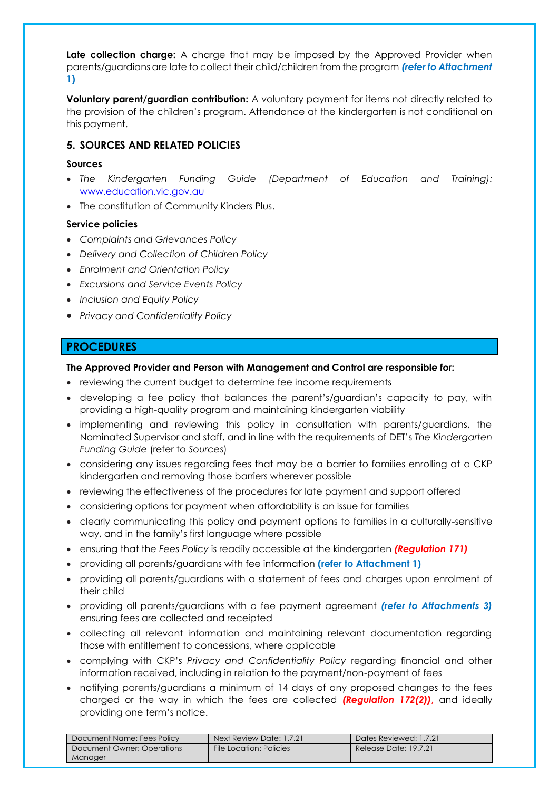**Late collection charge:** A charge that may be imposed by the Approved Provider when parents/guardians are late to collect their child/children from the program *(refer to Attachment*  **1)**

**Voluntary parent/guardian contribution:** A voluntary payment for items not directly related to the provision of the children's program. Attendance at the kindergarten is not conditional on this payment.

### **5. SOURCES AND RELATED POLICIES**

#### **Sources**

- *The Kindergarten Funding Guide (Department of Education and Training):* [www.education.vic.gov.au](http://www.education.vic.gov.au/)
- The constitution of Community Kinders Plus.

### **Service policies**

- *Complaints and Grievances Policy*
- *Delivery and Collection of Children Policy*
- *Enrolment and Orientation Policy*
- *Excursions and Service Events Policy*
- *Inclusion and Equity Policy*
- *Privacy and Confidentiality Policy*

# **PROCEDURES**

#### **The Approved Provider and Person with Management and Control are responsible for:**

- reviewing the current budget to determine fee income requirements
- developing a fee policy that balances the parent's/guardian's capacity to pay, with providing a high-quality program and maintaining kindergarten viability
- implementing and reviewing this policy in consultation with parents/guardians, the Nominated Supervisor and staff, and in line with the requirements of DET's *The Kindergarten Funding Guide* (refer to *Sources*)
- considering any issues regarding fees that may be a barrier to families enrolling at a CKP kindergarten and removing those barriers wherever possible
- reviewing the effectiveness of the procedures for late payment and support offered
- considering options for payment when affordability is an issue for families
- clearly communicating this policy and payment options to families in a culturally-sensitive way, and in the family's first language where possible
- ensuring that the *Fees Policy* is readily accessible at the kindergarten *(Regulation 171)*
- providing all parents/guardians with fee information **(refer to Attachment 1)**
- providing all parents/guardians with a statement of fees and charges upon enrolment of their child
- providing all parents/guardians with a fee payment agreement *(refer to Attachments 3)* ensuring fees are collected and receipted
- collecting all relevant information and maintaining relevant documentation regarding those with entitlement to concessions, where applicable
- complying with CKP's *Privacy and Confidentiality Policy* regarding financial and other information received, including in relation to the payment/non-payment of fees
- notifying parents/guardians a minimum of 14 days of any proposed changes to the fees charged or the way in which the fees are collected *(Regulation 172(2))***,** and ideally providing one term's notice.

| Document Name: Fees Policy | Next Review Date: 1.7.21 | Dates Reviewed: 1.7.21 |
|----------------------------|--------------------------|------------------------|
| Document Owner: Operations | File Location: Policies  | Release Date: 19.7.21  |
| Manager                    |                          |                        |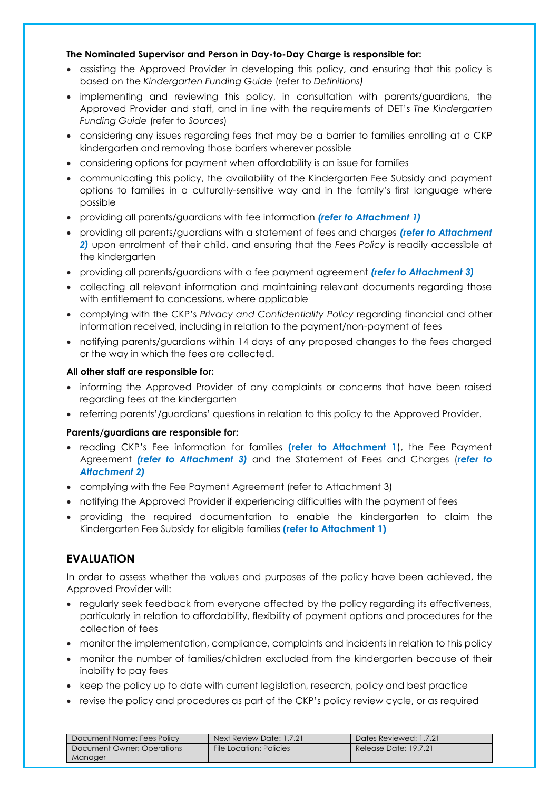#### **The Nominated Supervisor and Person in Day-to-Day Charge is responsible for:**

- assisting the Approved Provider in developing this policy, and ensuring that this policy is based on the *Kindergarten Funding Guide* (refer to *Definitions)*
- implementing and reviewing this policy, in consultation with parents/guardians, the Approved Provider and staff, and in line with the requirements of DET's *The Kindergarten Funding Guide* (refer to *Sources*)
- considering any issues regarding fees that may be a barrier to families enrolling at a CKP kindergarten and removing those barriers wherever possible
- considering options for payment when affordability is an issue for families
- communicating this policy, the availability of the Kindergarten Fee Subsidy and payment options to families in a culturally-sensitive way and in the family's first language where possible
- providing all parents/guardians with fee information *(refer to Attachment 1)*
- providing all parents/guardians with a statement of fees and charges *(refer to Attachment 2)* upon enrolment of their child, and ensuring that the *Fees Policy* is readily accessible at the kindergarten
- providing all parents/guardians with a fee payment agreement *(refer to Attachment 3)*
- collecting all relevant information and maintaining relevant documents regarding those with entitlement to concessions, where applicable
- complying with the CKP's *Privacy and Confidentiality Policy* regarding financial and other information received, including in relation to the payment/non-payment of fees
- notifying parents/guardians within 14 days of any proposed changes to the fees charged or the way in which the fees are collected.

#### **All other staff are responsible for:**

- informing the Approved Provider of any complaints or concerns that have been raised regarding fees at the kindergarten
- referring parents'/guardians' questions in relation to this policy to the Approved Provider.

### **Parents/guardians are responsible for:**

- reading CKP's Fee information for families **(refer to Attachment 1**), the Fee Payment Agreement *(refer to Attachment 3)* and the Statement of Fees and Charges (*refer to Attachment 2)*
- complying with the Fee Payment Agreement (refer to Attachment 3)
- notifying the Approved Provider if experiencing difficulties with the payment of fees
- providing the required documentation to enable the kindergarten to claim the Kindergarten Fee Subsidy for eligible families **(refer to Attachment 1)**

# **EVALUATION**

In order to assess whether the values and purposes of the policy have been achieved, the Approved Provider will:

- regularly seek feedback from everyone affected by the policy regarding its effectiveness, particularly in relation to affordability, flexibility of payment options and procedures for the collection of fees
- monitor the implementation, compliance, complaints and incidents in relation to this policy
- monitor the number of families/children excluded from the kindergarten because of their inability to pay fees
- keep the policy up to date with current leaislation, research, policy and best practice
- revise the policy and procedures as part of the CKP's policy review cycle, or as required

| Document Name: Fees Policy | Next Review Date: 1.7.21 | Dates Reviewed: 1.7.21 |
|----------------------------|--------------------------|------------------------|
| Document Owner: Operations | File Location: Policies  | Release Date: 19.7.21  |
| <b>Manager</b>             |                          |                        |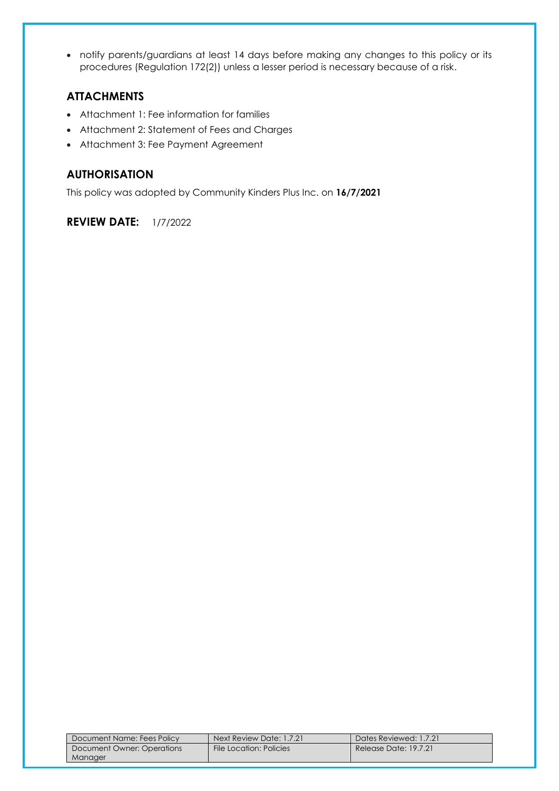• notify parents/guardians at least 14 days before making any changes to this policy or its procedures (Regulation 172(2)) unless a lesser period is necessary because of a risk.

# **ATTACHMENTS**

- Attachment 1: Fee information for families
- Attachment 2: Statement of Fees and Charges
- Attachment 3: Fee Payment Agreement

# **AUTHORISATION**

This policy was adopted by Community Kinders Plus Inc. on **16/7/2021**

**REVIEW DATE:** 1/7/2022

| Document Name: Fees Policy | Next Review Date: 1.7.21 | Dates Reviewed: 1.7.21 |
|----------------------------|--------------------------|------------------------|
| Document Owner: Operations | File Location: Policies  | Release Date: 19.7.21  |
| Manager                    |                          |                        |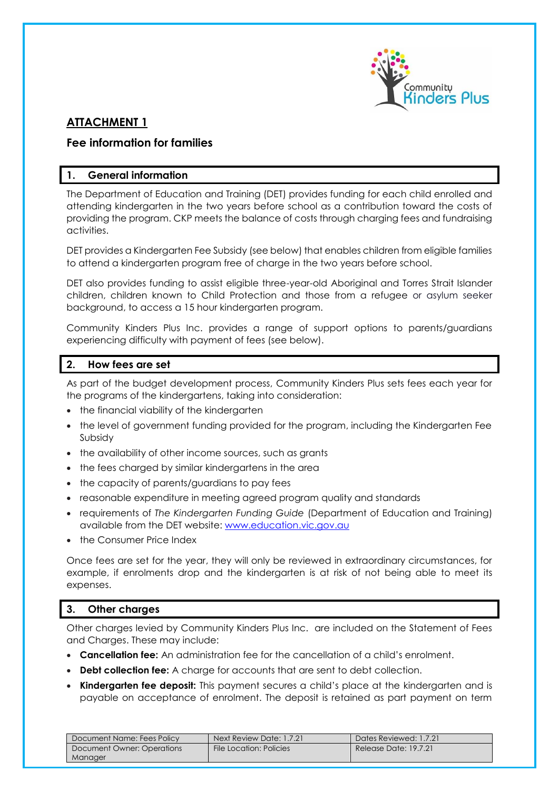

# **ATTACHMENT 1**

# **Fee information for families**

# **1. General information**

The Department of Education and Training (DET) provides funding for each child enrolled and attending kindergarten in the two years before school as a contribution toward the costs of providing the program. CKP meets the balance of costs through charging fees and fundraising activities.

DET provides a Kindergarten Fee Subsidy (see below) that enables children from eligible families to attend a kindergarten program free of charge in the two years before school.

DET also provides funding to assist eligible three-year-old Aboriginal and Torres Strait Islander children, children known to Child Protection and those from a refugee or asylum seeker background, to access a 15 hour kindergarten program.

Community Kinders Plus Inc. provides a range of support options to parents/guardians experiencing difficulty with payment of fees (see below).

# **2. How fees are set**

As part of the budget development process, Community Kinders Plus sets fees each year for the programs of the kindergartens, taking into consideration:

- the financial viability of the kindergarten
- the level of government funding provided for the program, including the Kindergarten Fee Subsidy
- the availability of other income sources, such as grants
- the fees charged by similar kindergartens in the area
- the capacity of parents/guardians to pay fees
- reasonable expenditure in meeting agreed program quality and standards
- requirements of *The Kindergarten Funding Guide* (Department of Education and Training) available from the DET website: [www.education.vic.gov.au](http://www.education.vic.gov.au/)
- the Consumer Price Index

Once fees are set for the year, they will only be reviewed in extraordinary circumstances, for example, if enrolments drop and the kindergarten is at risk of not being able to meet its expenses.

# **3. Other charges**

Other charges levied by Community Kinders Plus Inc. are included on the Statement of Fees and Charges. These may include:

- **Cancellation fee:** An administration fee for the cancellation of a child's enrolment.
- **Debt collection fee:** A charge for accounts that are sent to debt collection.
- **Kindergarten fee deposit:** This payment secures a child's place at the kindergarten and is payable on acceptance of enrolment. The deposit is retained as part payment on term

| Document Name: Fees Policy | Next Review Date: 1.7.21 | Dates Reviewed: 1.7.21 |
|----------------------------|--------------------------|------------------------|
| Document Owner: Operations | File Location: Policies  | Release Date: 19.7.21  |
| Manager                    |                          |                        |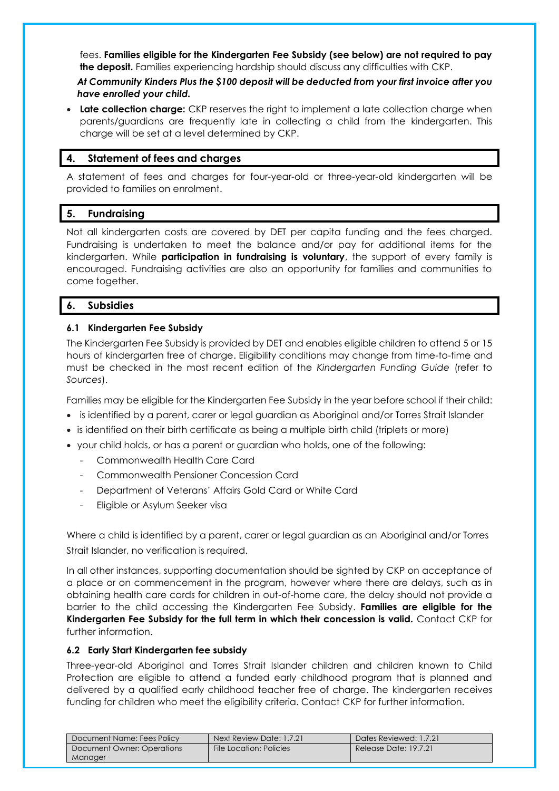fees. **Families eligible for the Kindergarten Fee Subsidy (see below) are not required to pay the deposit.** Families experiencing hardship should discuss any difficulties with CKP.

### *At Community Kinders Plus the \$100 deposit will be deducted from your first invoice after you have enrolled your child.*

• **Late collection charge:** CKP reserves the right to implement a late collection charge when parents/guardians are frequently late in collecting a child from the kindergarten. This charge will be set at a level determined by CKP.

### **4. Statement of fees and charges**

A statement of fees and charges for four-year-old or three-year-old kindergarten will be provided to families on enrolment.

### **5. Fundraising**

Not all kindergarten costs are covered by DET per capita funding and the fees charged. Fundraising is undertaken to meet the balance and/or pay for additional items for the kindergarten. While **participation in fundraising is voluntary**, the support of every family is encouraged. Fundraising activities are also an opportunity for families and communities to come together.

### **6. Subsidies**

### **6.1 Kindergarten Fee Subsidy**

The Kindergarten Fee Subsidy is provided by DET and enables eligible children to attend 5 or 15 hours of kindergarten free of charge. Eligibility conditions may change from time-to-time and must be checked in the most recent edition of the *Kindergarten Funding Guide* (refer to *Sources*).

Families may be eligible for the Kindergarten Fee Subsidy in the year before school if their child:

- is identified by a parent, carer or legal guardian as Aboriginal and/or Torres Strait Islander
- is identified on their birth certificate as being a multiple birth child (triplets or more)
- your child holds, or has a parent or guardian who holds, one of the following:
	- Commonwealth Health Care Card
	- Commonwealth Pensioner Concession Card
	- Department of Veterans' Affairs Gold Card or White Card
	- Eligible or Asylum Seeker visa

Where a child is identified by a parent, carer or legal guardian as an Aboriginal and/or Torres Strait Islander, no verification is required.

In all other instances, supporting documentation should be sighted by CKP on acceptance of a place or on commencement in the program, however where there are delays, such as in obtaining health care cards for children in out-of-home care, the delay should not provide a barrier to the child accessing the Kindergarten Fee Subsidy. **Families are eligible for the Kindergarten Fee Subsidy for the full term in which their concession is valid.** Contact CKP for further information.

#### **6.2 Early Start Kindergarten fee subsidy**

Three-year-old Aboriginal and Torres Strait Islander children and children known to Child Protection are eligible to attend a funded early childhood program that is planned and delivered by a qualified early childhood teacher free of charge. The kindergarten receives funding for children who meet the eligibility criteria. Contact CKP for further information.

| Document Name: Fees Policy | Next Review Date: 1.7.21 | Dates Reviewed: 1.7.21 |
|----------------------------|--------------------------|------------------------|
| Document Owner: Operations | File Location: Policies  | Release Date: 19.7.21  |
| Manager                    |                          |                        |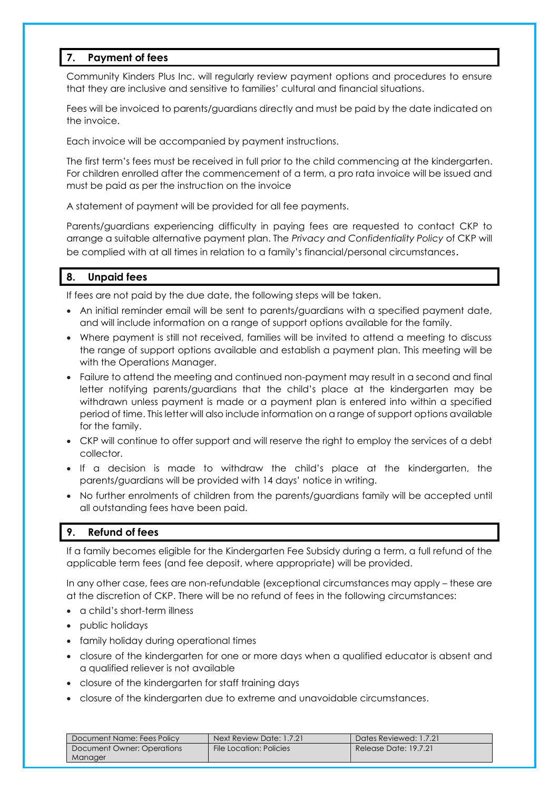# **7. Payment of fees**

Community Kinders Plus Inc. will regularly review payment options and procedures to ensure that they are inclusive and sensitive to families' cultural and financial situations.

Fees will be invoiced to parents/guardians directly and must be paid by the date indicated on the invoice.

Each invoice will be accompanied by payment instructions.

The first term's fees must be received in full prior to the child commencing at the kindergarten. For children enrolled after the commencement of a term, a pro rata invoice will be issued and must be paid as per the instruction on the invoice

A statement of payment will be provided for all fee payments.

Parents/guardians experiencing difficulty in paying fees are requested to contact CKP to arrange a suitable alternative payment plan. The *Privacy and Confidentiality Policy* of CKP will be complied with at all times in relation to a family's financial/personal circumstances.

# **8. Unpaid fees**

If fees are not paid by the due date, the following steps will be taken.

- An initial reminder email will be sent to parents/guardians with a specified payment date, and will include information on a range of support options available for the family.
- Where payment is still not received, families will be invited to attend a meeting to discuss the range of support options available and establish a payment plan. This meeting will be with the Operations Manager.
- Failure to attend the meeting and continued non-payment may result in a second and final letter notifying parents/guardians that the child's place at the kindergarten may be withdrawn unless payment is made or a payment plan is entered into within a specified period of time. This letter will also include information on a range of support options available for the family.
- CKP will continue to offer support and will reserve the right to employ the services of a debt collector.
- If a decision is made to withdraw the child's place at the kindergarten, the parents/guardians will be provided with 14 days' notice in writing.
- No further enrolments of children from the parents/guardians family will be accepted until all outstanding fees have been paid.

# **9. Refund of fees**

If a family becomes eligible for the Kindergarten Fee Subsidy during a term, a full refund of the applicable term fees (and fee deposit, where appropriate) will be provided.

In any other case, fees are non-refundable (exceptional circumstances may apply – these are at the discretion of CKP. There will be no refund of fees in the following circumstances:

- a child's short-term illness
- public holidays
- family holiday during operational times
- closure of the kindergarten for one or more days when a qualified educator is absent and a qualified reliever is not available
- closure of the kindergarten for staff training days
- closure of the kindergarten due to extreme and unavoidable circumstances.

| Document Name: Fees Policy | Next Review Date: 1.7.21 | Dates Reviewed: 1.7.21 |
|----------------------------|--------------------------|------------------------|
| Document Owner: Operations | File Location: Policies  | Release Date: 19.7.21  |
| Manager                    |                          |                        |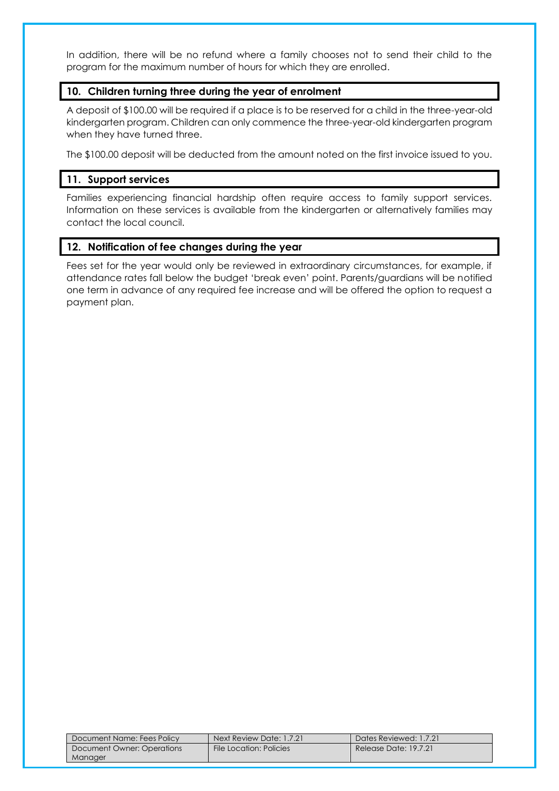In addition, there will be no refund where a family chooses not to send their child to the program for the maximum number of hours for which they are enrolled.

### **10. Children turning three during the year of enrolment**

A deposit of \$100.00 will be required if a place is to be reserved for a child in the three-year-old kindergarten program. Children can only commence the three-year-old kindergarten program when they have turned three.

The \$100.00 deposit will be deducted from the amount noted on the first invoice issued to you.

# **11. Support services**

Families experiencing financial hardship often require access to family support services. Information on these services is available from the kindergarten or alternatively families may contact the local council.

# **12. Notification of fee changes during the year**

Fees set for the year would only be reviewed in extraordinary circumstances, for example, if attendance rates fall below the budget 'break even' point. Parents/guardians will be notified one term in advance of any required fee increase and will be offered the option to request a payment plan.

| Document Name: Fees Policy | Next Review Date: 1.7.21 | Dates Reviewed: 1.7.21 |
|----------------------------|--------------------------|------------------------|
| Document Owner: Operations | File Location: Policies  | Release Date: 19.7.21  |
| Manager                    |                          |                        |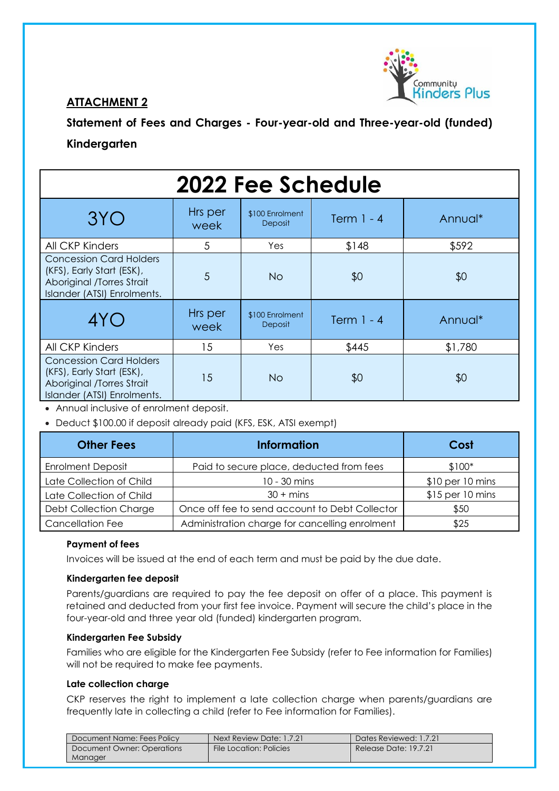

# **ATTACHMENT 2**

**Statement of Fees and Charges - Four-year-old and Three-year-old (funded) Kindergarten**

| <b>2022 Fee Schedule</b>                                                                                                |                 |                                   |              |         |
|-------------------------------------------------------------------------------------------------------------------------|-----------------|-----------------------------------|--------------|---------|
| 3YO                                                                                                                     | Hrs per<br>week | \$100 Enrolment<br><b>Deposit</b> | Term $1 - 4$ | Annual* |
| All CKP Kinders                                                                                                         | 5               | Yes                               | \$148        | \$592   |
| <b>Concession Card Holders</b><br>(KFS), Early Start (ESK),<br>Aboriginal /Torres Strait<br>Islander (ATSI) Enrolments. | 5               | <b>No</b>                         | \$0          | \$0     |
| 4YO                                                                                                                     | Hrs per<br>week | \$100 Enrolment<br><b>Deposit</b> | Term $1 - 4$ | Annual* |
| All CKP Kinders                                                                                                         | 15              | Yes                               | \$445        | \$1,780 |
| <b>Concession Card Holders</b><br>(KFS), Early Start (ESK),<br>Aboriginal /Torres Strait<br>Islander (ATSI) Enrolments. | 15              | No.                               | \$0          | \$0     |

• Annual inclusive of enrolment deposit.

• Deduct \$100.00 if deposit already paid (KFS, ESK, ATSI exempt)

| <b>Other Fees</b>             | <b>Information</b>                             | Cost                |
|-------------------------------|------------------------------------------------|---------------------|
| <b>Enrolment Deposit</b>      | Paid to secure place, deducted from fees       | $$100*$             |
| Late Collection of Child      | 10 - 30 mins                                   | $$10$ per $10$ mins |
| Late Collection of Child      | $30 + mins$                                    | $$15$ per 10 mins   |
| <b>Debt Collection Charge</b> | Once off fee to send account to Debt Collector | \$50                |
| <b>Cancellation Fee</b>       | Administration charge for cancelling enrolment | \$25                |

### **Payment of fees**

Invoices will be issued at the end of each term and must be paid by the due date.

#### **Kindergarten fee deposit**

Parents/guardians are required to pay the fee deposit on offer of a place. This payment is retained and deducted from your first fee invoice. Payment will secure the child's place in the four-year-old and three year old (funded) kindergarten program.

#### **Kindergarten Fee Subsidy**

Families who are eligible for the Kindergarten Fee Subsidy (refer to Fee information for Families) will not be required to make fee payments.

#### **Late collection charge**

CKP reserves the right to implement a late collection charge when parents/guardians are frequently late in collecting a child (refer to Fee information for Families).

| Document Name: Fees Policy | Next Review Date: 1.7.21 | Dates Reviewed: 1.7.21 |
|----------------------------|--------------------------|------------------------|
| Document Owner: Operations | File Location: Policies  | Release Date: 19.7.21  |
| Manager                    |                          |                        |